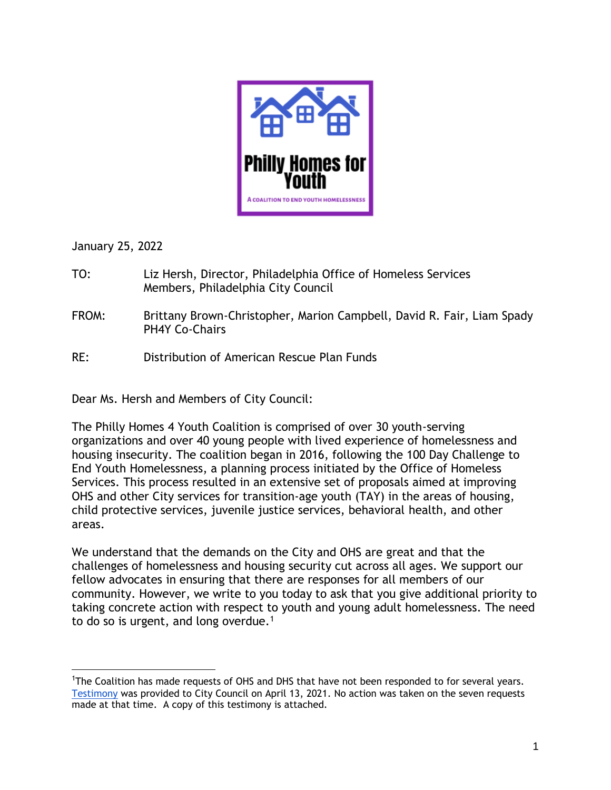

January 25, 2022

- TO: Liz Hersh, Director, Philadelphia Office of Homeless Services Members, Philadelphia City Council
- FROM: Brittany Brown-Christopher, Marion Campbell, David R. Fair, Liam Spady PH4Y Co-Chairs
- RE: Distribution of American Rescue Plan Funds

Dear Ms. Hersh and Members of City Council:

The Philly Homes 4 Youth Coalition is comprised of over 30 youth-serving organizations and over 40 young people with lived experience of homelessness and housing insecurity. The coalition began in 2016, following the 100 Day Challenge to End Youth Homelessness, a planning process initiated by the Office of Homeless Services. This process resulted in an extensive set of proposals aimed at improving OHS and other City services for transition-age youth (TAY) in the areas of housing, child protective services, juvenile justice services, behavioral health, and other areas.

We understand that the demands on the City and OHS are great and that the challenges of homelessness and housing security cut across all ages. We support our fellow advocates in ensuring that there are responses for all members of our community. However, we write to you today to ask that you give additional priority to taking concrete action with respect to youth and young adult homelessness. The need to do so is urgent, and long overdue.<sup>1</sup>

<sup>&</sup>lt;sup>1</sup>The Coalition has made requests of OHS and DHS that have not been responded to for several years. [Testimony](https://docs.google.com/document/d/1MjJI4-qGNqR_9gYX33BIkiReWF7whybj/edit) was provided to City Council on April 13, 2021. No action was taken on the seven requests made at that time. A copy of this testimony is attached.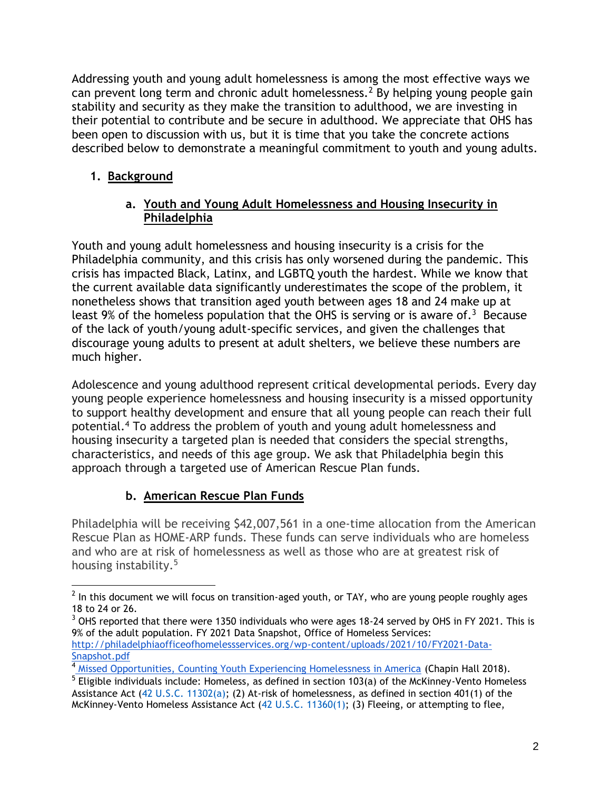Addressing youth and young adult homelessness is among the most effective ways we can prevent long term and chronic adult homelessness.<sup>2</sup> By helping young people gain stability and security as they make the transition to adulthood, we are investing in their potential to contribute and be secure in adulthood. We appreciate that OHS has been open to discussion with us, but it is time that you take the concrete actions described below to demonstrate a meaningful commitment to youth and young adults.

# **1. Background**

#### **a. Youth and Young Adult Homelessness and Housing Insecurity in Philadelphia**

Youth and young adult homelessness and housing insecurity is a crisis for the Philadelphia community, and this crisis has only worsened during the pandemic. This crisis has impacted Black, Latinx, and LGBTQ youth the hardest. While we know that the current available data significantly underestimates the scope of the problem, it nonetheless shows that transition aged youth between ages 18 and 24 make up at least 9% of the homeless population that the OHS is serving or is aware of.<sup>3</sup> Because of the lack of youth/young adult-specific services, and given the challenges that discourage young adults to present at adult shelters, we believe these numbers are much higher.

Adolescence and young adulthood represent critical developmental periods. Every day young people experience homelessness and housing insecurity is a missed opportunity to support healthy development and ensure that all young people can reach their full potential.<sup>4</sup> To address the problem of youth and young adult homelessness and housing insecurity a targeted plan is needed that considers the special strengths, characteristics, and needs of this age group. We ask that Philadelphia begin this approach through a targeted use of American Rescue Plan funds.

# **b. American Rescue Plan Funds**

Philadelphia will be receiving \$42,007,561 in a one-time allocation from the American Rescue Plan as HOME-ARP funds. These funds can serve individuals who are homeless and who are at risk of homelessness as well as those who are at greatest risk of housing instability.<sup>5</sup>

 $^2$  In this document we will focus on transition-aged youth, or TAY, who are young people roughly ages 18 to 24 or 26.

<sup>&</sup>lt;sup>3</sup> OHS reported that there were 1350 individuals who were ages 18-24 served by OHS in FY 2021. This is 9% of the adult population. FY 2021 Data Snapshot, Office of Homeless Services: [http://philadelphiaofficeofhomelessservices.org/wp-content/uploads/2021/10/FY2021-Data-](http://philadelphiaofficeofhomelessservices.org/wp-content/uploads/2021/10/FY2021-Data-Snapshot.pdf)[Snapshot.pdf](http://philadelphiaofficeofhomelessservices.org/wp-content/uploads/2021/10/FY2021-Data-Snapshot.pdf)

<sup>&</sup>lt;sup>4</sup> [M](https://voicesofyouthcount.org/wp-content/uploads/2018/08/VoYC-Youth-Count-Brief-Chapin-Hall-2018.pdf)issed [Opportunities, Counting Youth Experiencing Homelessness in America](https://voicesofyouthcount.org/wp-content/uploads/2018/08/VoYC-Youth-Count-Brief-Chapin-Hall-2018.pdf) (Chapin Hall 2018).

<sup>&</sup>lt;sup>5</sup> Eligible individuals include: Homeless, as defined in section 103(a) of the McKinney-Vento Homeless Assistance Act [\(42 U.S.C. 11302\(a\);](http://uscode.house.gov/quicksearch/get.plx?title=42§ion=11302) (2) At-risk of homelessness, as defined in section 401(1) of the McKinney-Vento Homeless Assistance Act [\(42 U.S.C. 11360\(1\);](http://uscode.house.gov/quicksearch/get.plx?title=42§ion=11360) (3) Fleeing, or attempting to flee,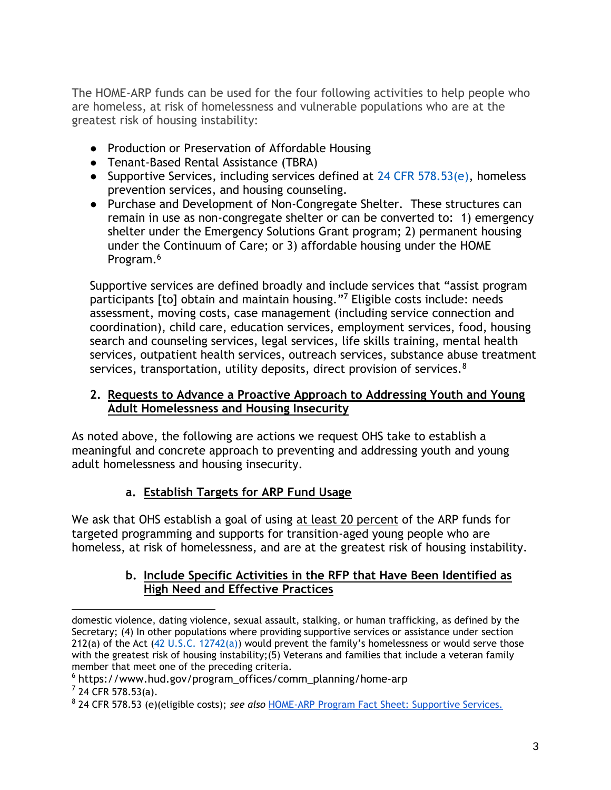The HOME-ARP funds can be used for the four following activities to help people who are homeless, at risk of homelessness and vulnerable populations who are at the greatest risk of housing instability:

- Production or Preservation of Affordable Housing
- Tenant-Based Rental Assistance (TBRA)
- Supportive Services, including services defined at [24 CFR 578.53\(e\),](http://www.ecfr.gov/cgi-bin/text-idx?node=pt24.3.578&rgn=div5#se24.3.578_153) homeless prevention services, and housing counseling.
- Purchase and Development of Non-Congregate Shelter. These structures can remain in use as non-congregate shelter or can be converted to: 1) emergency shelter under the Emergency Solutions Grant program; 2) permanent housing under the Continuum of Care; or 3) affordable housing under the HOME Program.<sup>6</sup>

Supportive services are defined broadly and include services that "assist program participants [to] obtain and maintain housing."<sup>7</sup> Eligible costs include: needs assessment, moving costs, case management (including service connection and coordination), child care, education services, employment services, food, housing search and counseling services, legal services, life skills training, mental health services, outpatient health services, outreach services, substance abuse treatment services, transportation, utility deposits, direct provision of services.<sup>8</sup>

#### **2. Requests to Advance a Proactive Approach to Addressing Youth and Young Adult Homelessness and Housing Insecurity**

As noted above, the following are actions we request OHS take to establish a meaningful and concrete approach to preventing and addressing youth and young adult homelessness and housing insecurity.

# **a. Establish Targets for ARP Fund Usage**

We ask that OHS establish a goal of using at least 20 percent of the ARP funds for targeted programming and supports for transition-aged young people who are homeless, at risk of homelessness, and are at the greatest risk of housing instability.

#### **b. Include Specific Activities in the RFP that Have Been Identified as High Need and Effective Practices**

domestic violence, dating violence, sexual assault, stalking, or human trafficking, as defined by the Secretary: (4) In other populations where providing supportive services or assistance under section 212(a) of the Act [\(42 U.S.C. 12742\(a\)](http://uscode.house.gov/quicksearch/get.plx?title=42§ion=12742)) would prevent the family's homelessness or would serve those with the greatest risk of housing instability;(5) Veterans and families that include a veteran family member that meet one of the preceding criteria.

<sup>6</sup> https://www.hud.gov/program\_offices/comm\_planning/home-arp

 $7$  24 CFR 578.53(a).

<sup>8</sup> 24 CFR 578.53 (e)(eligible costs); *see also* [HOME-ARP Program Fact Sheet: Supportive Services.](https://www.hud.gov/sites/dfiles/CPD/documents/HOME-ARP-Supportive-Services-Fact-Sheet.pdf)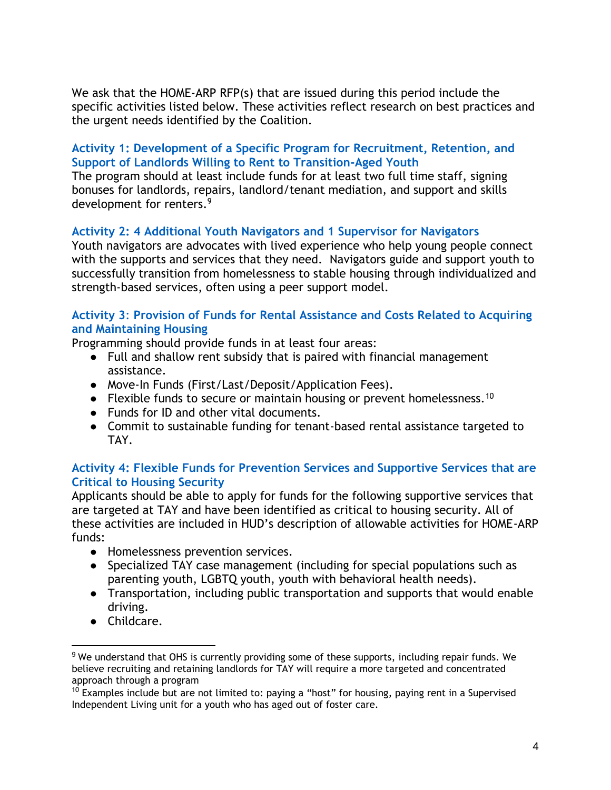We ask that the HOME-ARP RFP(s) that are issued during this period include the specific activities listed below. These activities reflect research on best practices and the urgent needs identified by the Coalition.

#### **Activity 1: Development of a Specific Program for Recruitment, Retention, and Support of Landlords Willing to Rent to Transition-Aged Youth**

The program should at least include funds for at least two full time staff, signing bonuses for landlords, repairs, landlord/tenant mediation, and support and skills development for renters.<sup>9</sup>

#### **Activity 2: 4 Additional Youth Navigators and 1 Supervisor for Navigators**

Youth navigators are advocates with lived experience who help young people connect with the supports and services that they need. Navigators guide and support youth to successfully transition from homelessness to stable housing through individualized and strength-based services, often using a peer support model.

#### **Activity 3**: **Provision of Funds for Rental Assistance and Costs Related to Acquiring and Maintaining Housing**

Programming should provide funds in at least four areas:

- Full and shallow rent subsidy that is paired with financial management assistance.
- Move-In Funds (First/Last/Deposit/Application Fees).
- Flexible funds to secure or maintain housing or prevent homelessness.<sup>10</sup>
- Funds for ID and other vital documents.
- Commit to sustainable funding for tenant-based rental assistance targeted to TAY.

#### **Activity 4: Flexible Funds for Prevention Services and Supportive Services that are Critical to Housing Security**

Applicants should be able to apply for funds for the following supportive services that are targeted at TAY and have been identified as critical to housing security. All of these activities are included in HUD's description of allowable activities for HOME-ARP funds:

- Homelessness prevention services.
- Specialized TAY case management (including for special populations such as parenting youth, LGBTQ youth, youth with behavioral health needs).
- Transportation, including public transportation and supports that would enable driving.
- Childcare.

<sup>&</sup>lt;sup>9</sup> We understand that OHS is currently providing some of these supports, including repair funds. We believe recruiting and retaining landlords for TAY will require a more targeted and concentrated approach through a program

 $10$  Examples include but are not limited to: paying a "host" for housing, paying rent in a Supervised Independent Living unit for a youth who has aged out of foster care.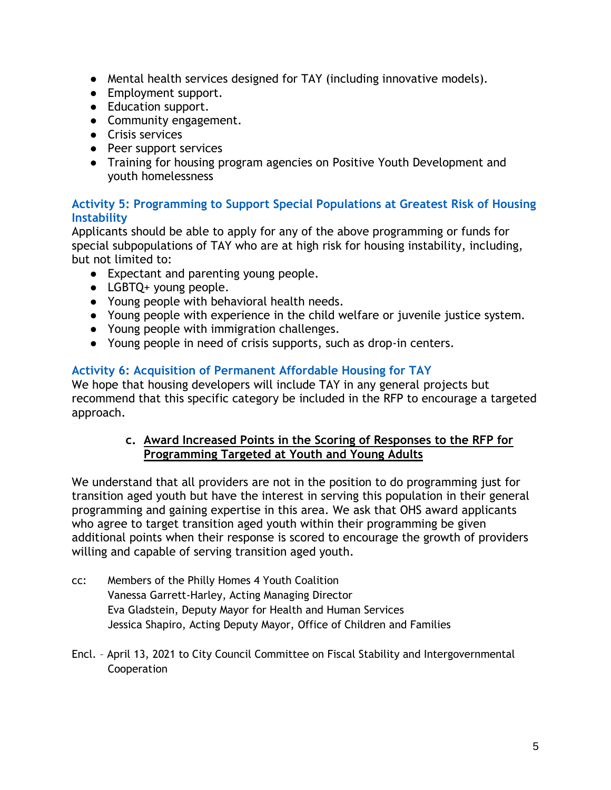- Mental health services designed for TAY (including innovative models).
- Employment support.
- Education support.
- Community engagement.
- Crisis services
- Peer support services
- Training for housing program agencies on Positive Youth Development and youth homelessness

#### **Activity 5: Programming to Support Special Populations at Greatest Risk of Housing Instability**

Applicants should be able to apply for any of the above programming or funds for special subpopulations of TAY who are at high risk for housing instability, including, but not limited to:

- Expectant and parenting young people.
- LGBTQ+ young people.
- Young people with behavioral health needs.
- Young people with experience in the child welfare or juvenile justice system.
- Young people with immigration challenges.
- Young people in need of crisis supports, such as drop-in centers.

# **Activity 6: Acquisition of Permanent Affordable Housing for TAY**

We hope that housing developers will include TAY in any general projects but recommend that this specific category be included in the RFP to encourage a targeted approach.

#### **c. Award Increased Points in the Scoring of Responses to the RFP for Programming Targeted at Youth and Young Adults**

We understand that all providers are not in the position to do programming just for transition aged youth but have the interest in serving this population in their general programming and gaining expertise in this area. We ask that OHS award applicants who agree to target transition aged youth within their programming be given additional points when their response is scored to encourage the growth of providers willing and capable of serving transition aged youth.

- cc: Members of the Philly Homes 4 Youth Coalition Vanessa Garrett-Harley, Acting Managing Director Eva Gladstein, Deputy Mayor for Health and Human Services Jessica Shapiro, Acting Deputy Mayor, Office of Children and Families
- Encl. April 13, 2021 to City Council Committee on Fiscal Stability and Intergovernmental Cooperation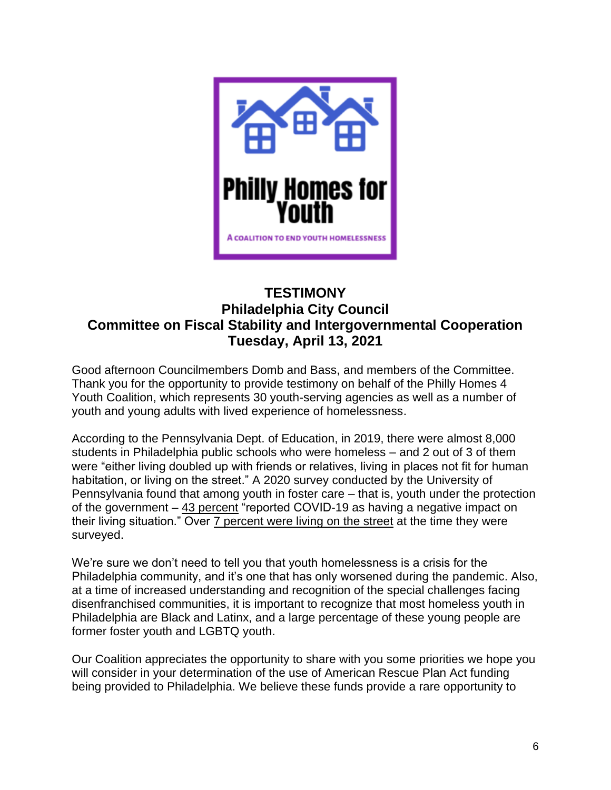

# **TESTIMONY Philadelphia City Council Committee on Fiscal Stability and Intergovernmental Cooperation Tuesday, April 13, 2021**

Good afternoon Councilmembers Domb and Bass, and members of the Committee. Thank you for the opportunity to provide testimony on behalf of the Philly Homes 4 Youth Coalition, which represents 30 youth-serving agencies as well as a number of youth and young adults with lived experience of homelessness.

According to the Pennsylvania Dept. of Education, in 2019, there were almost 8,000 students in Philadelphia public schools who were homeless – and 2 out of 3 of them were "either living doubled up with friends or relatives, living in places not fit for human habitation, or living on the street." A 2020 survey conducted by the University of Pennsylvania found that among youth in foster care – that is, youth under the protection of the government – 43 percent "reported COVID-19 as having a negative impact on their living situation." Over 7 percent were living on the street at the time they were surveyed.

We're sure we don't need to tell you that youth homelessness is a crisis for the Philadelphia community, and it's one that has only worsened during the pandemic. Also, at a time of increased understanding and recognition of the special challenges facing disenfranchised communities, it is important to recognize that most homeless youth in Philadelphia are Black and Latinx, and a large percentage of these young people are former foster youth and LGBTQ youth.

Our Coalition appreciates the opportunity to share with you some priorities we hope you will consider in your determination of the use of American Rescue Plan Act funding being provided to Philadelphia. We believe these funds provide a rare opportunity to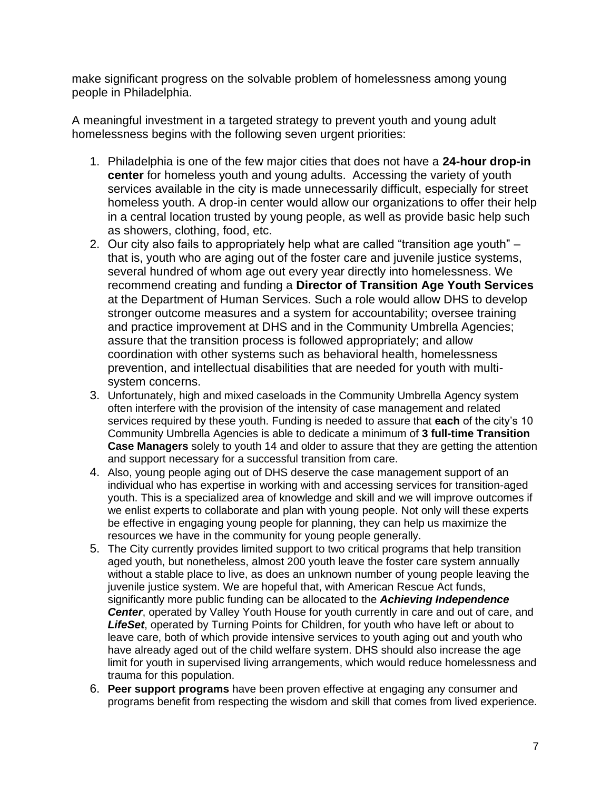make significant progress on the solvable problem of homelessness among young people in Philadelphia.

A meaningful investment in a targeted strategy to prevent youth and young adult homelessness begins with the following seven urgent priorities:

- 1. Philadelphia is one of the few major cities that does not have a **24-hour drop-in center** for homeless youth and young adults. Accessing the variety of youth services available in the city is made unnecessarily difficult, especially for street homeless youth. A drop-in center would allow our organizations to offer their help in a central location trusted by young people, as well as provide basic help such as showers, clothing, food, etc.
- 2. Our city also fails to appropriately help what are called "transition age youth" that is, youth who are aging out of the foster care and juvenile justice systems, several hundred of whom age out every year directly into homelessness. We recommend creating and funding a **Director of Transition Age Youth Services** at the Department of Human Services. Such a role would allow DHS to develop stronger outcome measures and a system for accountability; oversee training and practice improvement at DHS and in the Community Umbrella Agencies; assure that the transition process is followed appropriately; and allow coordination with other systems such as behavioral health, homelessness prevention, and intellectual disabilities that are needed for youth with multisystem concerns.
- 3. Unfortunately, high and mixed caseloads in the Community Umbrella Agency system often interfere with the provision of the intensity of case management and related services required by these youth. Funding is needed to assure that **each** of the city's 10 Community Umbrella Agencies is able to dedicate a minimum of **3 full-time Transition Case Managers** solely to youth 14 and older to assure that they are getting the attention and support necessary for a successful transition from care.
- 4. Also, young people aging out of DHS deserve the case management support of an individual who has expertise in working with and accessing services for transition-aged youth. This is a specialized area of knowledge and skill and we will improve outcomes if we enlist experts to collaborate and plan with young people. Not only will these experts be effective in engaging young people for planning, they can help us maximize the resources we have in the community for young people generally.
- 5. The City currently provides limited support to two critical programs that help transition aged youth, but nonetheless, almost 200 youth leave the foster care system annually without a stable place to live, as does an unknown number of young people leaving the juvenile justice system. We are hopeful that, with American Rescue Act funds, significantly more public funding can be allocated to the *Achieving Independence*  **Center**, operated by Valley Youth House for youth currently in care and out of care, and *LifeSet*, operated by Turning Points for Children, for youth who have left or about to leave care, both of which provide intensive services to youth aging out and youth who have already aged out of the child welfare system. DHS should also increase the age limit for youth in supervised living arrangements, which would reduce homelessness and trauma for this population.
- 6. **Peer support programs** have been proven effective at engaging any consumer and programs benefit from respecting the wisdom and skill that comes from lived experience.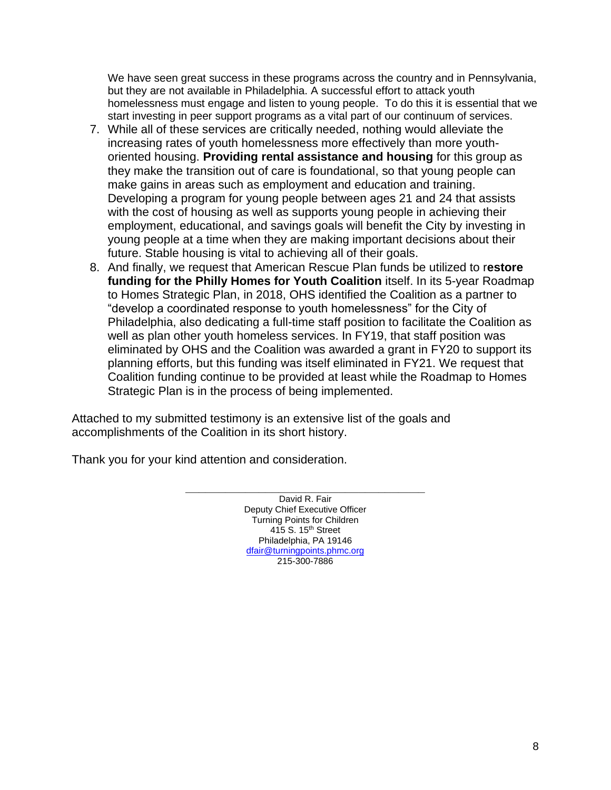We have seen great success in these programs across the country and in Pennsylvania, but they are not available in Philadelphia. A successful effort to attack youth homelessness must engage and listen to young people. To do this it is essential that we start investing in peer support programs as a vital part of our continuum of services.

- 7. While all of these services are critically needed, nothing would alleviate the increasing rates of youth homelessness more effectively than more youthoriented housing. **Providing rental assistance and housing** for this group as they make the transition out of care is foundational, so that young people can make gains in areas such as employment and education and training. Developing a program for young people between ages 21 and 24 that assists with the cost of housing as well as supports young people in achieving their employment, educational, and savings goals will benefit the City by investing in young people at a time when they are making important decisions about their future. Stable housing is vital to achieving all of their goals.
- 8. And finally, we request that American Rescue Plan funds be utilized to r**estore funding for the Philly Homes for Youth Coalition** itself. In its 5-year Roadmap to Homes Strategic Plan, in 2018, OHS identified the Coalition as a partner to "develop a coordinated response to youth homelessness" for the City of Philadelphia, also dedicating a full-time staff position to facilitate the Coalition as well as plan other youth homeless services. In FY19, that staff position was eliminated by OHS and the Coalition was awarded a grant in FY20 to support its planning efforts, but this funding was itself eliminated in FY21. We request that Coalition funding continue to be provided at least while the Roadmap to Homes Strategic Plan is in the process of being implemented.

Attached to my submitted testimony is an extensive list of the goals and accomplishments of the Coalition in its short history.

Thank you for your kind attention and consideration.

**\_\_\_\_\_\_\_\_\_\_\_\_\_\_\_\_\_\_\_\_\_\_\_\_\_\_\_\_\_\_\_\_\_\_\_\_** David R. Fair Deputy Chief Executive Officer Turning Points for Children 415 S. 15<sup>th</sup> Street Philadelphia, PA 19146 [dfair@turningpoints.phmc.org](mailto:dfair@turningpoints.phmc.org) 215-300-7886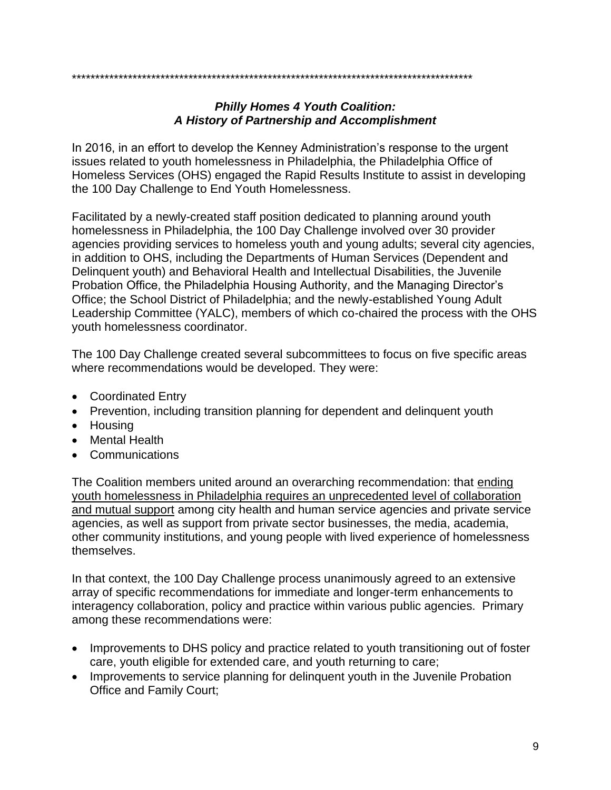# \*\*\*\*\*\*\*\*\*\*\*\*\*\*\*\*\*\*\*\*\*\*\*\*\*\*\*\*\*\*\*\*\*\*\*\*\*\*\*\*\*\*\*\*\*\*\*\*\*\*\*\*\*\*\*\*\*\*\*\*\*\*\*\*\*\*\*\*\*\*\*\*\*\*\*\*\*\*\*\*\*\*\*\*\*\*

#### *Philly Homes 4 Youth Coalition: A History of Partnership and Accomplishment*

In 2016, in an effort to develop the Kenney Administration's response to the urgent issues related to youth homelessness in Philadelphia, the Philadelphia Office of Homeless Services (OHS) engaged the Rapid Results Institute to assist in developing the 100 Day Challenge to End Youth Homelessness.

Facilitated by a newly-created staff position dedicated to planning around youth homelessness in Philadelphia, the 100 Day Challenge involved over 30 provider agencies providing services to homeless youth and young adults; several city agencies, in addition to OHS, including the Departments of Human Services (Dependent and Delinquent youth) and Behavioral Health and Intellectual Disabilities, the Juvenile Probation Office, the Philadelphia Housing Authority, and the Managing Director's Office; the School District of Philadelphia; and the newly-established Young Adult Leadership Committee (YALC), members of which co-chaired the process with the OHS youth homelessness coordinator.

The 100 Day Challenge created several subcommittees to focus on five specific areas where recommendations would be developed. They were:

- Coordinated Entry
- Prevention, including transition planning for dependent and delinquent youth
- Housing
- Mental Health
- Communications

The Coalition members united around an overarching recommendation: that ending youth homelessness in Philadelphia requires an unprecedented level of collaboration and mutual support among city health and human service agencies and private service agencies, as well as support from private sector businesses, the media, academia, other community institutions, and young people with lived experience of homelessness themselves.

In that context, the 100 Day Challenge process unanimously agreed to an extensive array of specific recommendations for immediate and longer-term enhancements to interagency collaboration, policy and practice within various public agencies. Primary among these recommendations were:

- Improvements to DHS policy and practice related to youth transitioning out of foster care, youth eligible for extended care, and youth returning to care;
- Improvements to service planning for delinguent youth in the Juvenile Probation Office and Family Court;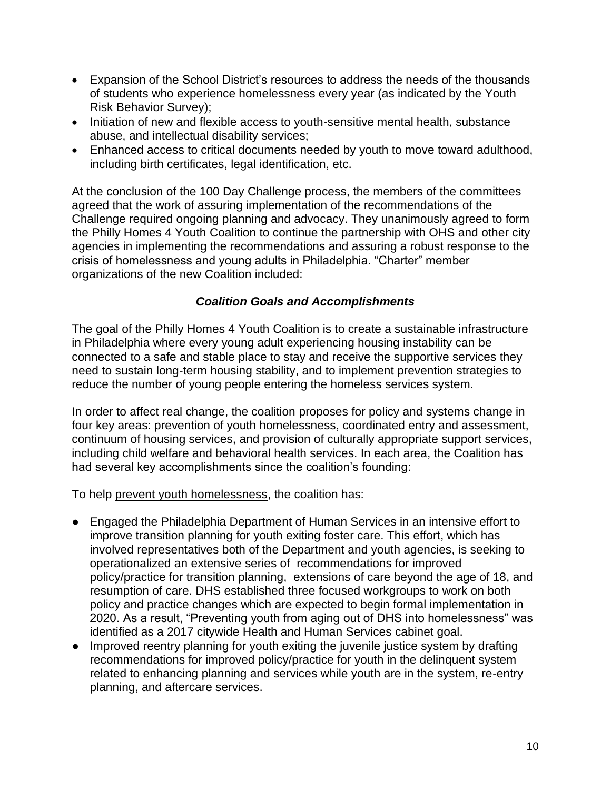- Expansion of the School District's resources to address the needs of the thousands of students who experience homelessness every year (as indicated by the Youth Risk Behavior Survey);
- Initiation of new and flexible access to youth-sensitive mental health, substance abuse, and intellectual disability services;
- Enhanced access to critical documents needed by youth to move toward adulthood, including birth certificates, legal identification, etc.

At the conclusion of the 100 Day Challenge process, the members of the committees agreed that the work of assuring implementation of the recommendations of the Challenge required ongoing planning and advocacy. They unanimously agreed to form the Philly Homes 4 Youth Coalition to continue the partnership with OHS and other city agencies in implementing the recommendations and assuring a robust response to the crisis of homelessness and young adults in Philadelphia. "Charter" member organizations of the new Coalition included:

#### *Coalition Goals and Accomplishments*

The goal of the Philly Homes 4 Youth Coalition is to create a sustainable infrastructure in Philadelphia where every young adult experiencing housing instability can be connected to a safe and stable place to stay and receive the supportive services they need to sustain long-term housing stability, and to implement prevention strategies to reduce the number of young people entering the homeless services system.

In order to affect real change, the coalition proposes for policy and systems change in four key areas: prevention of youth homelessness, coordinated entry and assessment, continuum of housing services, and provision of culturally appropriate support services, including child welfare and behavioral health services. In each area, the Coalition has had several key accomplishments since the coalition's founding:

To help prevent youth homelessness, the coalition has:

- Engaged the Philadelphia Department of Human Services in an intensive effort to improve transition planning for youth exiting foster care. This effort, which has involved representatives both of the Department and youth agencies, is seeking to operationalized an extensive series of recommendations for improved policy/practice for transition planning, extensions of care beyond the age of 18, and resumption of care. DHS established three focused workgroups to work on both policy and practice changes which are expected to begin formal implementation in 2020. As a result, "Preventing youth from aging out of DHS into homelessness" was identified as a 2017 citywide Health and Human Services cabinet goal.
- Improved reentry planning for youth exiting the juvenile justice system by drafting recommendations for improved policy/practice for youth in the delinquent system related to enhancing planning and services while youth are in the system, re-entry planning, and aftercare services.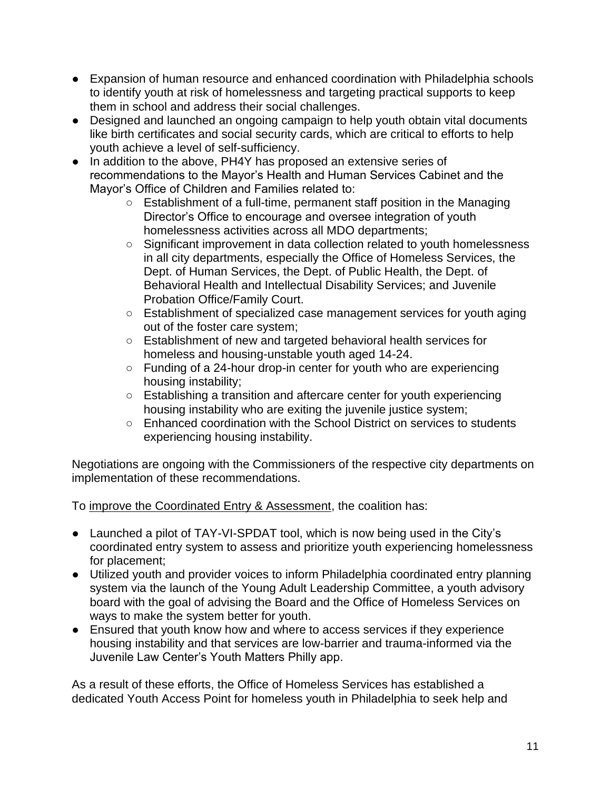- Expansion of human resource and enhanced coordination with Philadelphia schools to identify youth at risk of homelessness and targeting practical supports to keep them in school and address their social challenges.
- Designed and launched an ongoing campaign to help youth obtain vital documents like birth certificates and social security cards, which are critical to efforts to help youth achieve a level of self-sufficiency.
- In addition to the above, PH4Y has proposed an extensive series of recommendations to the Mayor's Health and Human Services Cabinet and the Mayor's Office of Children and Families related to:
	- Establishment of a full-time, permanent staff position in the Managing Director's Office to encourage and oversee integration of youth homelessness activities across all MDO departments;
	- Significant improvement in data collection related to youth homelessness in all city departments, especially the Office of Homeless Services, the Dept. of Human Services, the Dept. of Public Health, the Dept. of Behavioral Health and Intellectual Disability Services; and Juvenile Probation Office/Family Court.
	- Establishment of specialized case management services for youth aging out of the foster care system;
	- Establishment of new and targeted behavioral health services for homeless and housing-unstable youth aged 14-24.
	- Funding of a 24-hour drop-in center for youth who are experiencing housing instability;
	- Establishing a transition and aftercare center for youth experiencing housing instability who are exiting the juvenile justice system;
	- Enhanced coordination with the School District on services to students experiencing housing instability.

Negotiations are ongoing with the Commissioners of the respective city departments on implementation of these recommendations.

To improve the Coordinated Entry & Assessment, the coalition has:

- Launched a pilot of TAY-VI-SPDAT tool, which is now being used in the City's coordinated entry system to assess and prioritize youth experiencing homelessness for placement;
- Utilized youth and provider voices to inform Philadelphia coordinated entry planning system via the launch of the Young Adult Leadership Committee, a youth advisory board with the goal of advising the Board and the Office of Homeless Services on ways to make the system better for youth.
- Ensured that youth know how and where to access services if they experience housing instability and that services are low-barrier and trauma-informed via the Juvenile Law Center's Youth Matters Philly app.

As a result of these efforts, the Office of Homeless Services has established a dedicated Youth Access Point for homeless youth in Philadelphia to seek help and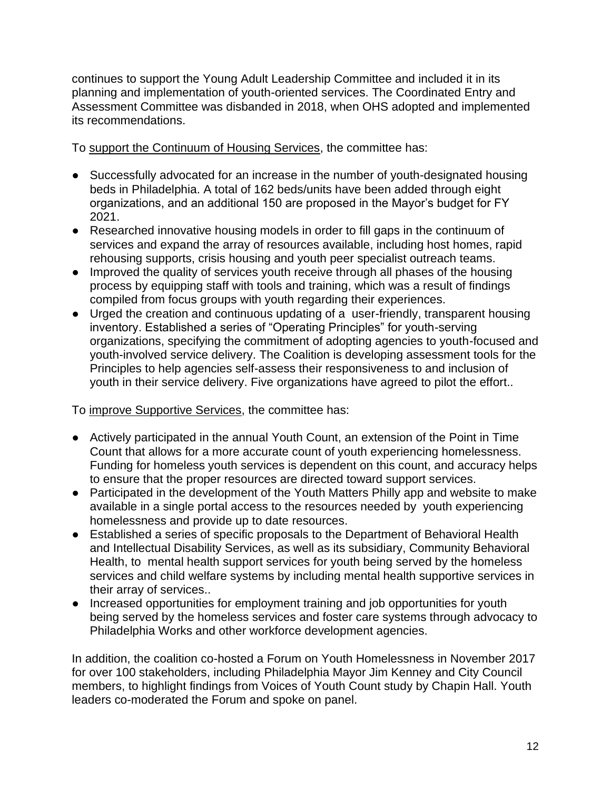continues to support the Young Adult Leadership Committee and included it in its planning and implementation of youth-oriented services. The Coordinated Entry and Assessment Committee was disbanded in 2018, when OHS adopted and implemented its recommendations.

To support the Continuum of Housing Services, the committee has:

- Successfully advocated for an increase in the number of youth-designated housing beds in Philadelphia. A total of 162 beds/units have been added through eight organizations, and an additional 150 are proposed in the Mayor's budget for FY 2021.
- Researched innovative housing models in order to fill gaps in the continuum of services and expand the array of resources available, including host homes, rapid rehousing supports, crisis housing and youth peer specialist outreach teams.
- Improved the quality of services youth receive through all phases of the housing process by equipping staff with tools and training, which was a result of findings compiled from focus groups with youth regarding their experiences.
- Urged the creation and continuous updating of a user-friendly, transparent housing inventory. Established a series of "Operating Principles" for youth-serving organizations, specifying the commitment of adopting agencies to youth-focused and youth-involved service delivery. The Coalition is developing assessment tools for the Principles to help agencies self-assess their responsiveness to and inclusion of youth in their service delivery. Five organizations have agreed to pilot the effort..

To improve Supportive Services, the committee has:

- Actively participated in the annual Youth Count, an extension of the Point in Time Count that allows for a more accurate count of youth experiencing homelessness. Funding for homeless youth services is dependent on this count, and accuracy helps to ensure that the proper resources are directed toward support services.
- Participated in the development of the Youth Matters Philly app and website to make available in a single portal access to the resources needed by youth experiencing homelessness and provide up to date resources.
- Established a series of specific proposals to the Department of Behavioral Health and Intellectual Disability Services, as well as its subsidiary, Community Behavioral Health, to mental health support services for youth being served by the homeless services and child welfare systems by including mental health supportive services in their array of services..
- Increased opportunities for employment training and job opportunities for youth being served by the homeless services and foster care systems through advocacy to Philadelphia Works and other workforce development agencies.

In addition, the coalition co-hosted a Forum on Youth Homelessness in November 2017 for over 100 stakeholders, including Philadelphia Mayor Jim Kenney and City Council members, to highlight findings from Voices of Youth Count study by Chapin Hall. Youth leaders co-moderated the Forum and spoke on panel.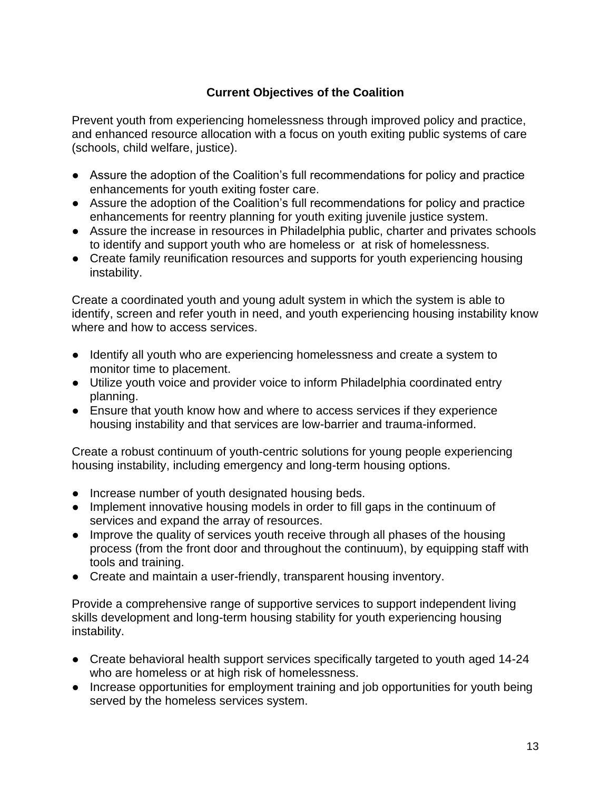# **Current Objectives of the Coalition**

Prevent youth from experiencing homelessness through improved policy and practice, and enhanced resource allocation with a focus on youth exiting public systems of care (schools, child welfare, justice).

- Assure the adoption of the Coalition's full recommendations for policy and practice enhancements for youth exiting foster care.
- Assure the adoption of the Coalition's full recommendations for policy and practice enhancements for reentry planning for youth exiting juvenile justice system.
- Assure the increase in resources in Philadelphia public, charter and privates schools to identify and support youth who are homeless or at risk of homelessness.
- Create family reunification resources and supports for youth experiencing housing instability.

Create a coordinated youth and young adult system in which the system is able to identify, screen and refer youth in need, and youth experiencing housing instability know where and how to access services.

- Identify all youth who are experiencing homelessness and create a system to monitor time to placement.
- Utilize youth voice and provider voice to inform Philadelphia coordinated entry planning.
- Ensure that youth know how and where to access services if they experience housing instability and that services are low-barrier and trauma-informed.

Create a robust continuum of youth-centric solutions for young people experiencing housing instability, including emergency and long-term housing options.

- Increase number of youth designated housing beds.
- Implement innovative housing models in order to fill gaps in the continuum of services and expand the array of resources.
- Improve the quality of services youth receive through all phases of the housing process (from the front door and throughout the continuum), by equipping staff with tools and training.
- Create and maintain a user-friendly, transparent housing inventory.

Provide a comprehensive range of supportive services to support independent living skills development and long-term housing stability for youth experiencing housing instability.

- Create behavioral health support services specifically targeted to youth aged 14-24 who are homeless or at high risk of homelessness.
- Increase opportunities for employment training and job opportunities for youth being served by the homeless services system.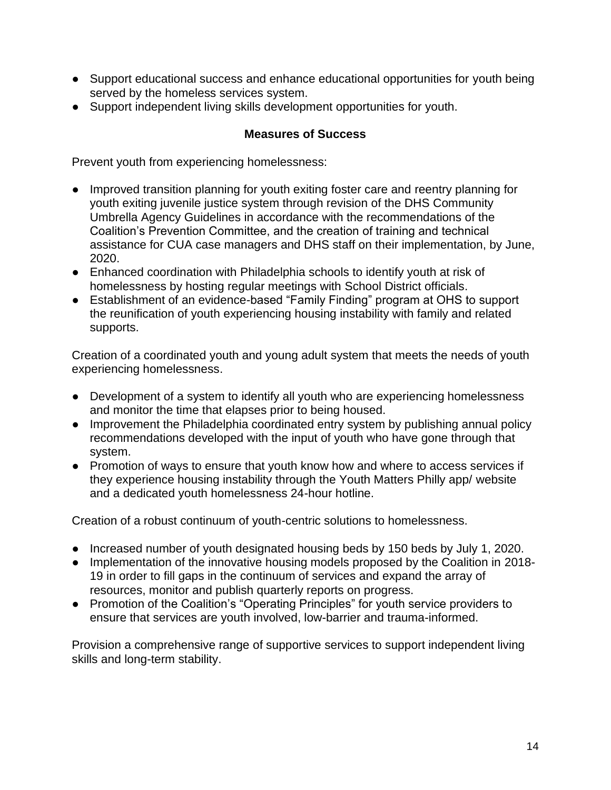- Support educational success and enhance educational opportunities for youth being served by the homeless services system.
- Support independent living skills development opportunities for youth.

#### **Measures of Success**

Prevent youth from experiencing homelessness:

- Improved transition planning for youth exiting foster care and reentry planning for youth exiting juvenile justice system through revision of the DHS Community Umbrella Agency Guidelines in accordance with the recommendations of the Coalition's Prevention Committee, and the creation of training and technical assistance for CUA case managers and DHS staff on their implementation, by June, 2020.
- Enhanced coordination with Philadelphia schools to identify youth at risk of homelessness by hosting regular meetings with School District officials.
- Establishment of an evidence-based "Family Finding" program at OHS to support the reunification of youth experiencing housing instability with family and related supports.

Creation of a coordinated youth and young adult system that meets the needs of youth experiencing homelessness.

- Development of a system to identify all youth who are experiencing homelessness and monitor the time that elapses prior to being housed.
- Improvement the Philadelphia coordinated entry system by publishing annual policy recommendations developed with the input of youth who have gone through that system.
- Promotion of ways to ensure that youth know how and where to access services if they experience housing instability through the Youth Matters Philly app/ website and a dedicated youth homelessness 24-hour hotline.

Creation of a robust continuum of youth-centric solutions to homelessness.

- Increased number of youth designated housing beds by 150 beds by July 1, 2020.
- Implementation of the innovative housing models proposed by the Coalition in 2018- 19 in order to fill gaps in the continuum of services and expand the array of resources, monitor and publish quarterly reports on progress.
- Promotion of the Coalition's "Operating Principles" for youth service providers to ensure that services are youth involved, low-barrier and trauma-informed.

Provision a comprehensive range of supportive services to support independent living skills and long-term stability.